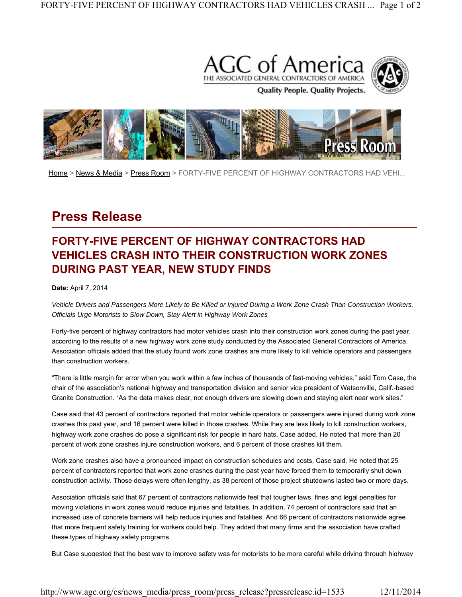



Home > News & Media > Press Room > FORTY-FIVE PERCENT OF HIGHWAY CONTRACTORS HAD VEHI...

## **Press Release**

## **FORTY-FIVE PERCENT OF HIGHWAY CONTRACTORS HAD VEHICLES CRASH INTO THEIR CONSTRUCTION WORK ZONES DURING PAST YEAR, NEW STUDY FINDS**

## **Date:** April 7, 2014

*Vehicle Drivers and Passengers More Likely to Be Killed or Injured During a Work Zone Crash Than Construction Workers, Officials Urge Motorists to Slow Down, Stay Alert in Highway Work Zones*

Forty-five percent of highway contractors had motor vehicles crash into their construction work zones during the past year, according to the results of a new highway work zone study conducted by the Associated General Contractors of America. Association officials added that the study found work zone crashes are more likely to kill vehicle operators and passengers than construction workers.

"There is little margin for error when you work within a few inches of thousands of fast-moving vehicles," said Tom Case, the chair of the association's national highway and transportation division and senior vice president of Watsonville, Calif.-based Granite Construction. "As the data makes clear, not enough drivers are slowing down and staying alert near work sites."

Case said that 43 percent of contractors reported that motor vehicle operators or passengers were injured during work zone crashes this past year, and 16 percent were killed in those crashes. While they are less likely to kill construction workers, highway work zone crashes do pose a significant risk for people in hard hats, Case added. He noted that more than 20 percent of work zone crashes injure construction workers, and 6 percent of those crashes kill them.

Work zone crashes also have a pronounced impact on construction schedules and costs, Case said. He noted that 25 percent of contractors reported that work zone crashes during the past year have forced them to temporarily shut down construction activity. Those delays were often lengthy, as 38 percent of those project shutdowns lasted two or more days.

Association officials said that 67 percent of contractors nationwide feel that tougher laws, fines and legal penalties for moving violations in work zones would reduce injuries and fatalities. In addition, 74 percent of contractors said that an increased use of concrete barriers will help reduce injuries and fatalities. And 66 percent of contractors nationwide agree that more frequent safety training for workers could help. They added that many firms and the association have crafted these types of highway safety programs.

But Case suggested that the best way to improve safety was for motorists to be more careful while driving through highway

http://www.agc.org/cs/news\_media/press\_room/press\_release?pressrelease.id=1533 12/11/2014